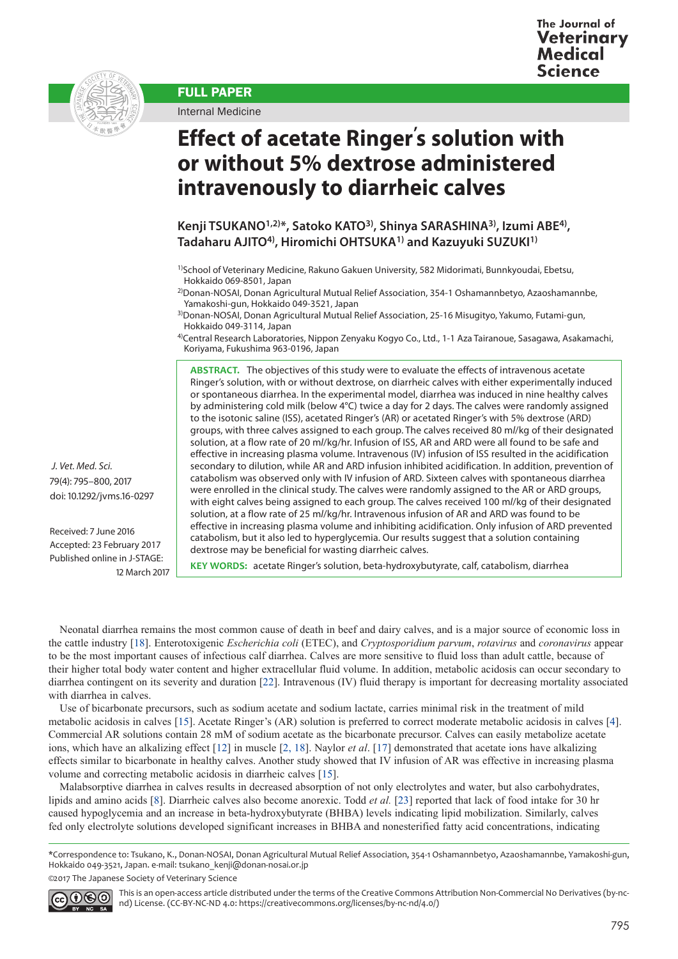



FULL PAPER

Internal Medicine



**Kenji TSUKANO1,2)\*, Satoko KATO3), Shinya SARASHINA3), Izumi ABE4), Tadaharu AJITO4), Hiromichi OHTSUKA1) and Kazuyuki SUZUKI1)**

4)Central Research Laboratories, Nippon Zenyaku Kogyo Co., Ltd., 1-1 Aza Tairanoue, Sasagawa, Asakamachi, Koriyama, Fukushima 963-0196, Japan

**ABSTRACT.** The objectives of this study were to evaluate the effects of intravenous acetate Ringer's solution, with or without dextrose, on diarrheic calves with either experimentally induced or spontaneous diarrhea. In the experimental model, diarrhea was induced in nine healthy calves by administering cold milk (below 4°C) twice a day for 2 days. The calves were randomly assigned to the isotonic saline (ISS), acetated Ringer's (AR) or acetated Ringer's with 5% dextrose (ARD) groups, with three calves assigned to each group. The calves received 80 m*l*/kg of their designated solution, at a flow rate of 20 m*l*/kg/hr. Infusion of ISS, AR and ARD were all found to be safe and effective in increasing plasma volume. Intravenous (IV) infusion of ISS resulted in the acidification secondary to dilution, while AR and ARD infusion inhibited acidification. In addition, prevention of catabolism was observed only with IV infusion of ARD. Sixteen calves with spontaneous diarrhea were enrolled in the clinical study. The calves were randomly assigned to the AR or ARD groups, with eight calves being assigned to each group. The calves received 100 m*l*/kg of their designated solution, at a flow rate of 25 m*l*/kg/hr. Intravenous infusion of AR and ARD was found to be effective in increasing plasma volume and inhibiting acidification. Only infusion of ARD prevented catabolism, but it also led to hyperglycemia. Our results suggest that a solution containing dextrose may be beneficial for wasting diarrheic calves.

 *J. Vet. Med. Sci.*  79(4): 795–800, 2017 doi: 10.1292/jvms.16-0297

Received: 7 June 2016 Accepted: 23 February 2017 Published online in J-STAGE: 12 March 2017

**KEY WORDS:** acetate Ringer's solution, beta-hydroxybutyrate, calf, catabolism, diarrhea

Neonatal diarrhea remains the most common cause of death in beef and dairy calves, and is a major source of economic loss in the cattle industry [[18](#page-5-0)]. Enterotoxigenic *Escherichia coli* (ETEC), and *Cryptosporidium parvum*, *rotavirus* and *coronavirus* appear to be the most important causes of infectious calf diarrhea. Calves are more sensitive to fluid loss than adult cattle, because of their higher total body water content and higher extracellular fluid volume. In addition, metabolic acidosis can occur secondary to diarrhea contingent on its severity and duration [[22](#page-5-1)]. Intravenous (IV) fluid therapy is important for decreasing mortality associated with diarrhea in calves.

Use of bicarbonate precursors, such as sodium acetate and sodium lactate, carries minimal risk in the treatment of mild metabolic acidosis in calves [\[15](#page-5-2)]. Acetate Ringer's (AR) solution is preferred to correct moderate metabolic acidosis in calves [[4](#page-5-3)]. Commercial AR solutions contain 28 mM of sodium acetate as the bicarbonate precursor. Calves can easily metabolize acetate ions, which have an alkalizing effect [\[12\]](#page-5-4) in muscle [[2, 18](#page-5-5)]. Naylor *et al*. [[17](#page-5-6)] demonstrated that acetate ions have alkalizing effects similar to bicarbonate in healthy calves. Another study showed that IV infusion of AR was effective in increasing plasma volume and correcting metabolic acidosis in diarrheic calves [[15](#page-5-2)].

Malabsorptive diarrhea in calves results in decreased absorption of not only electrolytes and water, but also carbohydrates, lipids and amino acids [\[8\]](#page-5-7). Diarrheic calves also become anorexic. Todd *et al.* [[23](#page-5-8)] reported that lack of food intake for 30 hr caused hypoglycemia and an increase in beta-hydroxybutyrate (BHBA) levels indicating lipid mobilization. Similarly, calves fed only electrolyte solutions developed significant increases in BHBA and nonesterified fatty acid concentrations, indicating

\*Correspondence to: Tsukano, K., Donan-NOSAI, Donan Agricultural Mutual Relief Association, 354-1 Oshamannbetyo, Azaoshamannbe, Yamakoshi-gun, Hokkaido 049-3521, Japan. e-mail: tsukano\_kenji@donan-nosai.or.jp

©2017 The Japanese Society of Veterinary Science



This is an open-access article distributed under the terms of the Creative Commons Attribution Non-Commercial No Derivatives (by-ncnd) License. (CC-BY-NC-ND 4.0: [https://creativecommons.org/licenses/by-nc-nd/4.0/\)](https://creativecommons.org/licenses/by-nc-nd/4.0/)

<sup>1)</sup>School of Veterinary Medicine, Rakuno Gakuen University, 582 Midorimati, Bunnkyoudai, Ebetsu, Hokkaido 069-8501, Japan

<sup>&</sup>lt;sup>2)</sup>Donan-NOSAI, Donan Agricultural Mutual Relief Association, 354-1 Oshamannbetyo, Azaoshamannbe, Yamakoshi-gun, Hokkaido 049-3521, Japan

<sup>3)</sup>Donan-NOSAI, Donan Agricultural Mutual Relief Association, 25-16 Misugityo, Yakumo, Futami-gun, Hokkaido 049-3114, Japan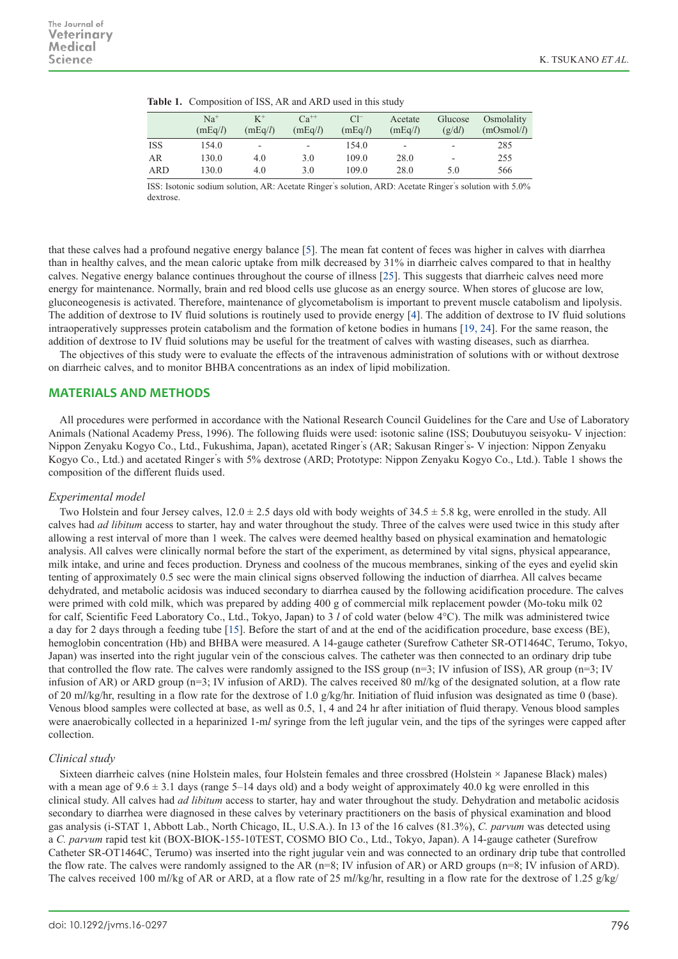|            | $Na+$<br>(mEq/l) | $K^+$<br>(mEq/l)         | $Ca^{++}$<br>(mEq/l)     | $Cl^-$<br>(mEq/l) | Acetate<br>(mEq/l)       | Glucose<br>(g/dl)        | Osmolality<br>(mOsmol/l) |
|------------|------------------|--------------------------|--------------------------|-------------------|--------------------------|--------------------------|--------------------------|
| <b>ISS</b> | 154.0            | $\overline{\phantom{a}}$ | $\overline{\phantom{0}}$ | 154.0             | $\overline{\phantom{a}}$ | $\overline{\phantom{0}}$ | 285                      |
| AR         | 130.0            | 4.0                      | 3.0                      | 109.0             | 28.0                     | -                        | 255                      |
| <b>ARD</b> | 130.0            | 4.0                      | 3.0                      | 109.0             | 28.0                     | 5.0                      | 566                      |

|  | Table 1. Composition of ISS, AR and ARD used in this study |  |  |  |  |
|--|------------------------------------------------------------|--|--|--|--|
|--|------------------------------------------------------------|--|--|--|--|

ISS: Isotonic sodium solution, AR: Acetate Ringer' s solution, ARD: Acetate Ringer' s solution with 5.0% dextrose.

that these calves had a profound negative energy balance [[5](#page-5-9)]. The mean fat content of feces was higher in calves with diarrhea than in healthy calves, and the mean caloric uptake from milk decreased by 31% in diarrheic calves compared to that in healthy calves. Negative energy balance continues throughout the course of illness [\[25](#page-5-10)]. This suggests that diarrheic calves need more energy for maintenance. Normally, brain and red blood cells use glucose as an energy source. When stores of glucose are low, gluconeogenesis is activated. Therefore, maintenance of glycometabolism is important to prevent muscle catabolism and lipolysis. The addition of dextrose to IV fluid solutions is routinely used to provide energy [\[4\]](#page-5-3). The addition of dextrose to IV fluid solutions intraoperatively suppresses protein catabolism and the formation of ketone bodies in humans [\[19, 24](#page-5-11)]. For the same reason, the addition of dextrose to IV fluid solutions may be useful for the treatment of calves with wasting diseases, such as diarrhea.

The objectives of this study were to evaluate the effects of the intravenous administration of solutions with or without dextrose on diarrheic calves, and to monitor BHBA concentrations as an index of lipid mobilization.

# **MATERIALS AND METHODS**

All procedures were performed in accordance with the National Research Council Guidelines for the Care and Use of Laboratory Animals (National Academy Press, 1996). The following fluids were used: isotonic saline (ISS; Doubutuyou seisyoku- V injection: Nippon Zenyaku Kogyo Co., Ltd., Fukushima, Japan), acetated Ringer' s (AR; Sakusan Ringer' s- V injection: Nippon Zenyaku Kogyo Co., Ltd.) and acetated Ringer' s with 5% dextrose (ARD; Prototype: Nippon Zenyaku Kogyo Co., Ltd.). Table 1 shows the composition of the different fluids used.

## *Experimental model*

Two Holstein and four Jersey calves,  $12.0 \pm 2.5$  days old with body weights of  $34.5 \pm 5.8$  kg, were enrolled in the study. All calves had *ad libitum* access to starter, hay and water throughout the study. Three of the calves were used twice in this study after allowing a rest interval of more than 1 week. The calves were deemed healthy based on physical examination and hematologic analysis. All calves were clinically normal before the start of the experiment, as determined by vital signs, physical appearance, milk intake, and urine and feces production. Dryness and coolness of the mucous membranes, sinking of the eyes and eyelid skin tenting of approximately 0.5 sec were the main clinical signs observed following the induction of diarrhea. All calves became dehydrated, and metabolic acidosis was induced secondary to diarrhea caused by the following acidification procedure. The calves were primed with cold milk, which was prepared by adding 400 g of commercial milk replacement powder (Mo-toku milk 02 for calf, Scientific Feed Laboratory Co., Ltd., Tokyo, Japan) to 3 *l* of cold water (below 4°C). The milk was administered twice a day for 2 days through a feeding tube [[15](#page-5-2)]. Before the start of and at the end of the acidification procedure, base excess (BE), hemoglobin concentration (Hb) and BHBA were measured. A 14-gauge catheter (Surefrow Catheter SR-OT1464C, Terumo, Tokyo, Japan) was inserted into the right jugular vein of the conscious calves. The catheter was then connected to an ordinary drip tube that controlled the flow rate. The calves were randomly assigned to the ISS group (n=3; IV infusion of ISS), AR group (n=3; IV infusion of AR) or ARD group (n=3; IV infusion of ARD). The calves received 80 m*l*/kg of the designated solution, at a flow rate of 20 m*l*/kg/hr, resulting in a flow rate for the dextrose of 1.0 g/kg/hr. Initiation of fluid infusion was designated as time 0 (base). Venous blood samples were collected at base, as well as 0.5, 1, 4 and 24 hr after initiation of fluid therapy. Venous blood samples were anaerobically collected in a heparinized 1-m*l* syringe from the left jugular vein, and the tips of the syringes were capped after collection.

# *Clinical study*

Sixteen diarrheic calves (nine Holstein males, four Holstein females and three crossbred (Holstein × Japanese Black) males) with a mean age of  $9.6 \pm 3.1$  days (range 5–14 days old) and a body weight of approximately 40.0 kg were enrolled in this clinical study. All calves had *ad libitum* access to starter, hay and water throughout the study. Dehydration and metabolic acidosis secondary to diarrhea were diagnosed in these calves by veterinary practitioners on the basis of physical examination and blood gas analysis (i-STAT 1, Abbott Lab., North Chicago, IL, U.S.A.). In 13 of the 16 calves (81.3%), *C. parvum* was detected using a *C. parvum* rapid test kit (BOX-BIOK-155-10TEST, COSMO BIO Co., Ltd., Tokyo, Japan). A 14-gauge catheter (Surefrow Catheter SR-OT1464C, Terumo) was inserted into the right jugular vein and was connected to an ordinary drip tube that controlled the flow rate. The calves were randomly assigned to the AR (n=8; IV infusion of AR) or ARD groups (n=8; IV infusion of ARD). The calves received 100 m*l*/kg of AR or ARD, at a flow rate of 25 m*l*/kg/hr, resulting in a flow rate for the dextrose of 1.25 g/kg/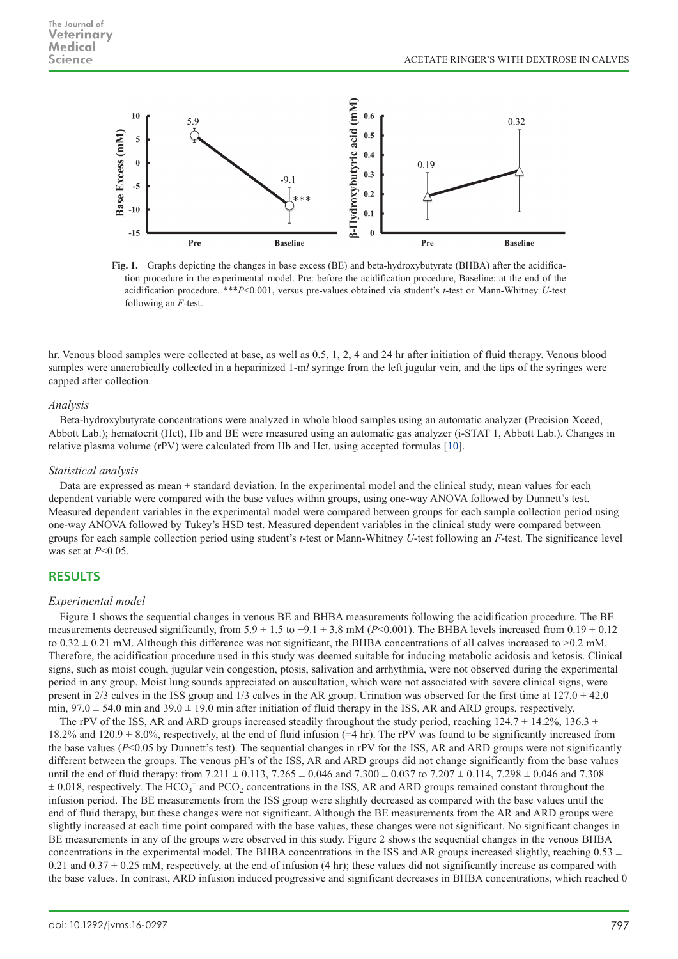

**Fig. 1.** Graphs depicting the changes in base excess (BE) and beta-hydroxybutyrate (BHBA) after the acidification procedure in the experimental model. Pre: before the acidification procedure, Baseline: at the end of the acidification procedure. \*\*\**P*<0.001, versus pre-values obtained via student's *t*-test or Mann-Whitney *U*-test following an *F*-test.

hr. Venous blood samples were collected at base, as well as 0.5, 1, 2, 4 and 24 hr after initiation of fluid therapy. Venous blood samples were anaerobically collected in a heparinized 1-m*l* syringe from the left jugular vein, and the tips of the syringes were capped after collection.

### *Analysis*

Beta-hydroxybutyrate concentrations were analyzed in whole blood samples using an automatic analyzer (Precision Xceed, Abbott Lab.); hematocrit (Hct), Hb and BE were measured using an automatic gas analyzer (i-STAT 1, Abbott Lab.). Changes in relative plasma volume (rPV) were calculated from Hb and Hct, using accepted formulas [\[10\]](#page-5-12).

## *Statistical analysis*

Data are expressed as mean  $\pm$  standard deviation. In the experimental model and the clinical study, mean values for each dependent variable were compared with the base values within groups, using one-way ANOVA followed by Dunnett's test. Measured dependent variables in the experimental model were compared between groups for each sample collection period using one-way ANOVA followed by Tukey's HSD test. Measured dependent variables in the clinical study were compared between groups for each sample collection period using student's *t*-test or Mann-Whitney *U*-test following an *F*-test. The significance level was set at *P*<0.05.

## **RESULTS**

### *Experimental model*

Figure 1 shows the sequential changes in venous BE and BHBA measurements following the acidification procedure. The BE measurements decreased significantly, from  $5.9 \pm 1.5$  to  $-9.1 \pm 3.8$  mM (*P*<0.001). The BHBA levels increased from  $0.19 \pm 0.12$ to  $0.32 \pm 0.21$  mM. Although this difference was not significant, the BHBA concentrations of all calves increased to  $>0.2$  mM. Therefore, the acidification procedure used in this study was deemed suitable for inducing metabolic acidosis and ketosis. Clinical signs, such as moist cough, jugular vein congestion, ptosis, salivation and arrhythmia, were not observed during the experimental period in any group. Moist lung sounds appreciated on auscultation, which were not associated with severe clinical signs, were present in  $2/3$  calves in the ISS group and  $1/3$  calves in the AR group. Urination was observed for the first time at  $127.0 \pm 42.0$ min,  $97.0 \pm 54.0$  min and  $39.0 \pm 19.0$  min after initiation of fluid therapy in the ISS, AR and ARD groups, respectively.

The rPV of the ISS, AR and ARD groups increased steadily throughout the study period, reaching  $124.7 \pm 14.2\%$ ,  $136.3 \pm 14.2\%$ 18.2% and 120.9  $\pm$  8.0%, respectively, at the end of fluid infusion (=4 hr). The rPV was found to be significantly increased from the base values (*P*<0.05 by Dunnett's test). The sequential changes in rPV for the ISS, AR and ARD groups were not significantly different between the groups. The venous pH's of the ISS, AR and ARD groups did not change significantly from the base values until the end of fluid therapy: from  $7.211 \pm 0.113$ ,  $7.265 \pm 0.046$  and  $7.300 \pm 0.037$  to  $7.207 \pm 0.114$ ,  $7.298 \pm 0.046$  and  $7.308$  $\pm$  0.018, respectively. The HCO<sub>3</sub><sup>-</sup> and PCO<sub>2</sub> concentrations in the ISS, AR and ARD groups remained constant throughout the infusion period. The BE measurements from the ISS group were slightly decreased as compared with the base values until the end of fluid therapy, but these changes were not significant. Although the BE measurements from the AR and ARD groups were slightly increased at each time point compared with the base values, these changes were not significant. No significant changes in BE measurements in any of the groups were observed in this study. Figure 2 shows the sequential changes in the venous BHBA concentrations in the experimental model. The BHBA concentrations in the ISS and AR groups increased slightly, reaching  $0.53 \pm$ 0.21 and  $0.37 \pm 0.25$  mM, respectively, at the end of infusion (4 hr); these values did not significantly increase as compared with the base values. In contrast, ARD infusion induced progressive and significant decreases in BHBA concentrations, which reached 0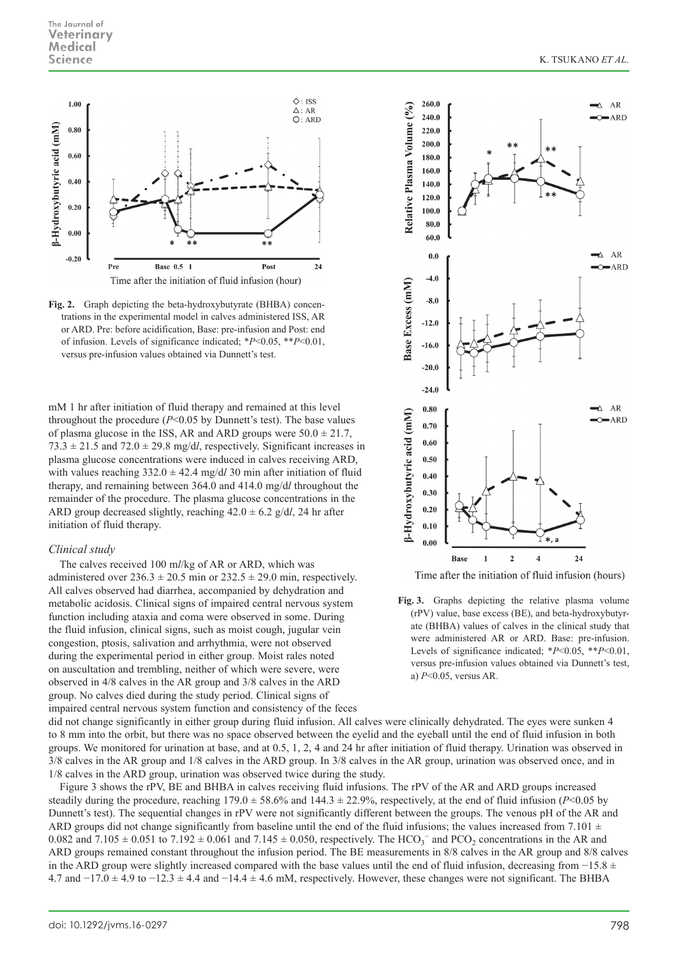

**Fig. 2.** Graph depicting the beta-hydroxybutyrate (BHBA) concentrations in the experimental model in calves administered ISS, AR or ARD. Pre: before acidification, Base: pre-infusion and Post: end of infusion. Levels of significance indicated; \**P*<0.05, \*\**P*<0.01, versus pre-infusion values obtained via Dunnett's test.

mM 1 hr after initiation of fluid therapy and remained at this level throughout the procedure  $(P<0.05$  by Dunnett's test). The base values of plasma glucose in the ISS, AR and ARD groups were  $50.0 \pm 21.7$ ,  $73.3 \pm 21.5$  and  $72.0 \pm 29.8$  mg/dl, respectively. Significant increases in plasma glucose concentrations were induced in calves receiving ARD, with values reaching  $332.0 \pm 42.4$  mg/d*l* 30 min after initiation of fluid therapy, and remaining between 364.0 and 414.0 mg/d*l* throughout the remainder of the procedure. The plasma glucose concentrations in the ARD group decreased slightly, reaching  $42.0 \pm 6.2$  g/d*l*, 24 hr after initiation of fluid therapy.

#### *Clinical study*

The calves received 100 m*l*/kg of AR or ARD, which was administered over  $236.3 \pm 20.5$  min or  $232.5 \pm 29.0$  min, respectively. All calves observed had diarrhea, accompanied by dehydration and metabolic acidosis. Clinical signs of impaired central nervous system function including ataxia and coma were observed in some. During the fluid infusion, clinical signs, such as moist cough, jugular vein congestion, ptosis, salivation and arrhythmia, were not observed during the experimental period in either group. Moist rales noted on auscultation and trembling, neither of which were severe, were observed in 4/8 calves in the AR group and 3/8 calves in the ARD group. No calves died during the study period. Clinical signs of impaired central nervous system function and consistency of the feces





did not change significantly in either group during fluid infusion. All calves were clinically dehydrated. The eyes were sunken 4 to 8 mm into the orbit, but there was no space observed between the eyelid and the eyeball until the end of fluid infusion in both groups. We monitored for urination at base, and at 0.5, 1, 2, 4 and 24 hr after initiation of fluid therapy. Urination was observed in 3/8 calves in the AR group and 1/8 calves in the ARD group. In 3/8 calves in the AR group, urination was observed once, and in 1/8 calves in the ARD group, urination was observed twice during the study.

Figure 3 shows the rPV, BE and BHBA in calves receiving fluid infusions. The rPV of the AR and ARD groups increased steadily during the procedure, reaching  $179.0 \pm 58.6\%$  and  $144.3 \pm 22.9\%$ , respectively, at the end of fluid infusion (*P*<0.05 by Dunnett's test). The sequential changes in rPV were not significantly different between the groups. The venous pH of the AR and ARD groups did not change significantly from baseline until the end of the fluid infusions; the values increased from 7.101  $\pm$ 0.082 and  $7.105 \pm 0.051$  to  $7.192 \pm 0.061$  and  $7.145 \pm 0.050$ , respectively. The  $HCO_3^-$  and  $PCO_2$  concentrations in the AR and ARD groups remained constant throughout the infusion period. The BE measurements in 8/8 calves in the AR group and 8/8 calves in the ARD group were slightly increased compared with the base values until the end of fluid infusion, decreasing from  $-15.8 \pm 10^{-15}$ 4.7 and  $-17.0 \pm 4.9$  to  $-12.3 \pm 4.4$  and  $-14.4 \pm 4.6$  mM, respectively. However, these changes were not significant. The BHBA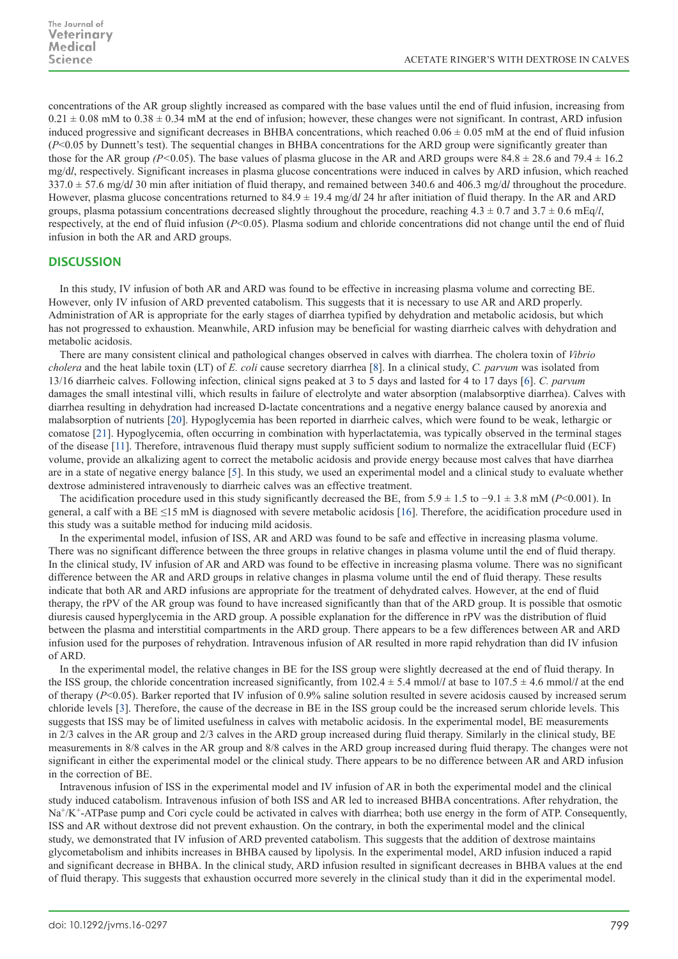concentrations of the AR group slightly increased as compared with the base values until the end of fluid infusion, increasing from  $0.21 \pm 0.08$  mM to  $0.38 \pm 0.34$  mM at the end of infusion; however, these changes were not significant. In contrast, ARD infusion induced progressive and significant decreases in BHBA concentrations, which reached  $0.06 \pm 0.05$  mM at the end of fluid infusion (*P*<0.05 by Dunnett's test). The sequential changes in BHBA concentrations for the ARD group were significantly greater than those for the AR group *(P*<0.05). The base values of plasma glucose in the AR and ARD groups were  $84.8 \pm 28.6$  and  $79.4 \pm 16.2$ mg/d*l*, respectively. Significant increases in plasma glucose concentrations were induced in calves by ARD infusion, which reached 337.0 ± 57.6 mg/d*l* 30 min after initiation of fluid therapy, and remained between 340.6 and 406.3 mg/d*l* throughout the procedure. However, plasma glucose concentrations returned to 84.9 ± 19.4 mg/d*l* 24 hr after initiation of fluid therapy. In the AR and ARD groups, plasma potassium concentrations decreased slightly throughout the procedure, reaching  $4.3 \pm 0.7$  and  $3.7 \pm 0.6$  mEq/*l*, respectively, at the end of fluid infusion (*P*<0.05). Plasma sodium and chloride concentrations did not change until the end of fluid infusion in both the AR and ARD groups.

# **DISCUSSION**

In this study, IV infusion of both AR and ARD was found to be effective in increasing plasma volume and correcting BE. However, only IV infusion of ARD prevented catabolism. This suggests that it is necessary to use AR and ARD properly. Administration of AR is appropriate for the early stages of diarrhea typified by dehydration and metabolic acidosis, but which has not progressed to exhaustion. Meanwhile, ARD infusion may be beneficial for wasting diarrheic calves with dehydration and metabolic acidosis.

There are many consistent clinical and pathological changes observed in calves with diarrhea. The cholera toxin of *Vibrio cholera* and the heat labile toxin (LT) of *E. coli* cause secretory diarrhea [[8](#page-5-7)]. In a clinical study, *C. parvum* was isolated from 13/16 diarrheic calves. Following infection, clinical signs peaked at 3 to 5 days and lasted for 4 to 17 days [\[6](#page-5-13)]. *C. parvum* damages the small intestinal villi, which results in failure of electrolyte and water absorption (malabsorptive diarrhea). Calves with diarrhea resulting in dehydration had increased D-lactate concentrations and a negative energy balance caused by anorexia and malabsorption of nutrients [\[20\]](#page-5-14). Hypoglycemia has been reported in diarrheic calves, which were found to be weak, lethargic or comatose [[21](#page-5-15)]. Hypoglycemia, often occurring in combination with hyperlactatemia, was typically observed in the terminal stages of the disease [\[11](#page-5-16)]. Therefore, intravenous fluid therapy must supply sufficient sodium to normalize the extracellular fluid (ECF) volume, provide an alkalizing agent to correct the metabolic acidosis and provide energy because most calves that have diarrhea are in a state of negative energy balance [[5](#page-5-9)]. In this study, we used an experimental model and a clinical study to evaluate whether dextrose administered intravenously to diarrheic calves was an effective treatment.

The acidification procedure used in this study significantly decreased the BE, from 5.9 ± 1.5 to −9.1 ± 3.8 mM (*P*<0.001). In general, a calf with a BE  $\leq$ 15 mM is diagnosed with severe metabolic acidosis [[16\]](#page-5-17). Therefore, the acidification procedure used in this study was a suitable method for inducing mild acidosis.

In the experimental model, infusion of ISS, AR and ARD was found to be safe and effective in increasing plasma volume. There was no significant difference between the three groups in relative changes in plasma volume until the end of fluid therapy. In the clinical study, IV infusion of AR and ARD was found to be effective in increasing plasma volume. There was no significant difference between the AR and ARD groups in relative changes in plasma volume until the end of fluid therapy. These results indicate that both AR and ARD infusions are appropriate for the treatment of dehydrated calves. However, at the end of fluid therapy, the rPV of the AR group was found to have increased significantly than that of the ARD group. It is possible that osmotic diuresis caused hyperglycemia in the ARD group. A possible explanation for the difference in rPV was the distribution of fluid between the plasma and interstitial compartments in the ARD group. There appears to be a few differences between AR and ARD infusion used for the purposes of rehydration. Intravenous infusion of AR resulted in more rapid rehydration than did IV infusion of ARD.

In the experimental model, the relative changes in BE for the ISS group were slightly decreased at the end of fluid therapy. In the ISS group, the chloride concentration increased significantly, from  $102.4 \pm 5.4$  mmol/*l* at base to  $107.5 \pm 4.6$  mmol/*l* at the end of therapy (*P*<0.05). Barker reported that IV infusion of 0.9% saline solution resulted in severe acidosis caused by increased serum chloride levels [[3\]](#page-5-18). Therefore, the cause of the decrease in BE in the ISS group could be the increased serum chloride levels. This suggests that ISS may be of limited usefulness in calves with metabolic acidosis. In the experimental model, BE measurements in 2/3 calves in the AR group and 2/3 calves in the ARD group increased during fluid therapy. Similarly in the clinical study, BE measurements in 8/8 calves in the AR group and 8/8 calves in the ARD group increased during fluid therapy. The changes were not significant in either the experimental model or the clinical study. There appears to be no difference between AR and ARD infusion in the correction of BE.

Intravenous infusion of ISS in the experimental model and IV infusion of AR in both the experimental model and the clinical study induced catabolism. Intravenous infusion of both ISS and AR led to increased BHBA concentrations. After rehydration, the Na<sup>+</sup>/K<sup>+</sup>-ATPase pump and Cori cycle could be activated in calves with diarrhea; both use energy in the form of ATP. Consequently, ISS and AR without dextrose did not prevent exhaustion. On the contrary, in both the experimental model and the clinical study, we demonstrated that IV infusion of ARD prevented catabolism. This suggests that the addition of dextrose maintains glycometabolism and inhibits increases in BHBA caused by lipolysis. In the experimental model, ARD infusion induced a rapid and significant decrease in BHBA. In the clinical study, ARD infusion resulted in significant decreases in BHBA values at the end of fluid therapy. This suggests that exhaustion occurred more severely in the clinical study than it did in the experimental model.